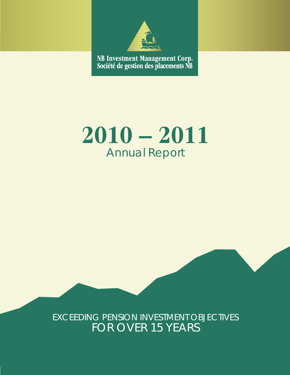

NB Investment Management Corp.<br>Société de gestion des placements NB

# **2010 – 2011** Annual Report

# EXCEEDING PENSION INVESTMENT OBJECTIVES FOR OVER 15 YEARS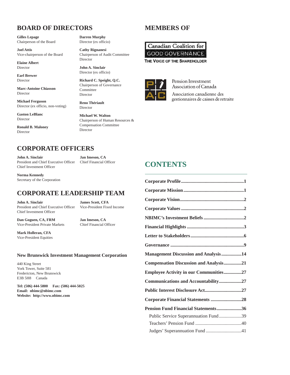# **BOARD OF DIRECTORS**

**Gilles Lepage** Chairperson of the Board

**Joel Attis** Vice-chairperson of the Board

**Elaine Albert** Director

**Earl Brewer** Director

**Marc-Antoine Chiasson** Director

**Michael Ferguson** Director (ex officio, non-voting)

**Gaston LeBlanc** Director

**Ronald B. Maloney** Director

**Darren Murphy** Director (ex officio)

**Cathy Rignanesi** Chairperson of Audit Committee Director

**John A. Sinclair** Director (ex officio)

**Richard C. Speight, Q.C.** Chairperson of Governance Committee Director

**Reno Thériault** Director

**Michael W. Walton** Chairperson of Human Resources & Compensation Committee Director

# **MEMBERS OF**

Canadian Coalition for **GOOD GOVERNANCE** THE VOICE OF THE SHAREHOLDER



Pension Investment Association of Canada Association canadienne des

gestionnaires de caisses de retraite

# **CORPORATE OFFICERS**

**John A. Sinclair Jan Imeson, CA** President and Chief Executive Officer Chief Financial Officer Chief Investment Officer

**Norma Kennedy** Secretary of the Corporation

### **CORPORATE LEADERSHIP TEAM**

**John A. Sinclair James Scott, CFA** President and Chief Executive Officer Vice-President Fixed Income Chief Investment Officer

**Dan Goguen, CA, FRM Jan Imeson, CA** Vice-President Private Markets Chief Financial Officer

**Mark Holleran, CFA** Vice-President Equities

#### **New Brunswick Investment Management Corporation**

440 King Street York Tower, Suite 581 Fredericton, New Brunswick E3B 5H8 Canada

**Tel: (506) 444-5800 Fax: (506) 444-5025 Email: nbimc@nbimc.com Website: http://www.nbimc.com**

| <b>CONTENTS</b> |
|-----------------|
|-----------------|

| Management Discussion and Analysis14          |  |
|-----------------------------------------------|--|
| <b>Compensation Discussion and Analysis21</b> |  |
| <b>Employee Activity in our Communities27</b> |  |
| Communications and Accountability27           |  |
|                                               |  |
| Corporate Financial Statements 28             |  |
| Pension Fund Financial Statements36           |  |
| Public Service Superannuation Fund39          |  |
|                                               |  |
| Judges' Superannuation Fund 41                |  |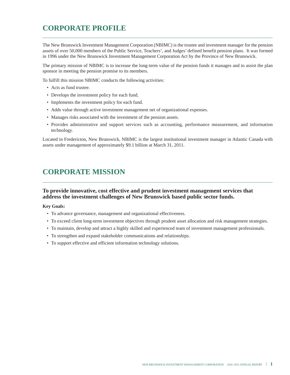# **CORPORATE PROFILE**

The New Brunswick Investment Management Corporation (NBIMC) is the trustee and investment manager for the pension assets of over 50,000 members of the Public Service, Teachers', and Judges' defined benefit pension plans. It was formed in 1996 under the New Brunswick Investment Management Corporation Act by the Province of New Brunswick.

The primary mission of NBIMC is to increase the long-term value of the pension funds it manages and to assist the plan sponsor in meeting the pension promise to its members.

To fulfill this mission NBIMC conducts the following activities:

- Acts as fund trustee.
- Develops the investment policy for each fund.
- Implements the investment policy for each fund.
- Adds value through active investment management net of organizational expenses.
- Manages risks associated with the investment of the pension assets.
- Provides administrative and support services such as accounting, performance measurement, and information technology.

Located in Fredericton, New Brunswick, NBIMC is the largest institutional investment manager in Atlantic Canada with assets under management of approximately \$9.1 billion at March 31, 2011.

# **CORPORATE MISSION**

#### **To provide innovative, cost effective and prudent investment management services that address the investment challenges of New Brunswick based public sector funds.**

#### **Key Goals:**

- To advance governance, management and organizational effectiveness.
- To exceed client long-term investment objectives through prudent asset allocation and risk management strategies.
- To maintain, develop and attract a highly skilled and experienced team of investment management professionals.
- To strengthen and expand stakeholder communications and relationships.
- To support effective and efficient information technology solutions.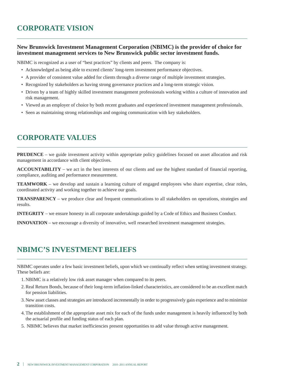# **CORPORATE VISION**

#### **New Brunswick Investment Management Corporation (NBIMC) is the provider of choice for investment management services to New Brunswick public sector investment funds.**

NBIMC is recognized as a user of "best practices" by clients and peers. The company is:

- Acknowledged as being able to exceed clients' long-term investment performance objectives.
- A provider of consistent value added for clients through a diverse range of multiple investment strategies.
- Recognized by stakeholders as having strong governance practices and a long-term strategic vision.
- Driven by a team of highly skilled investment management professionals working within a culture of innovation and risk management.
- Viewed as an employer of choice by both recent graduates and experienced investment management professionals.
- Seen as maintaining strong relationships and ongoing communication with key stakeholders.

# **CORPORATE VALUES**

**PRUDENCE** – we guide investment activity within appropriate policy guidelines focused on asset allocation and risk management in accordance with client objectives.

**ACCOUNTABILITY** – we act in the best interests of our clients and use the highest standard of financial reporting, compliance, auditing and performance measurement.

**TEAMWORK** – we develop and sustain a learning culture of engaged employees who share expertise, clear roles, coordinated activity and working together to achieve our goals.

**TRANSPARENCY** – we produce clear and frequent communications to all stakeholders on operations, strategies and results.

**INTEGRITY** – we ensure honesty in all corporate undertakings guided by a Code of Ethics and Business Conduct.

**INNOVATION** – we encourage a diversity of innovative, well researched investment management strategies.

# **NBIMC'S INVESTMENT BELIEFS**

NBIMC operates under a few basic investment beliefs, upon which we continually reflect when setting investment strategy. These beliefs are:

- 1. NBIMC is a relatively low risk asset manager when compared to its peers.
- 2.Real Return Bonds, because of their long-term inflation-linked characteristics, are considered to be an excellent match for pension liabilities.
- 3. New asset classes and strategies are introduced incrementally in order to progressively gain experience and to minimize transition costs.
- 4.The establishment of the appropriate asset mix for each of the funds under management is heavily influenced by both the actuarial profile and funding status of each plan.
- 5. NBIMC believes that market inefficiencies present opportunities to add value through active management.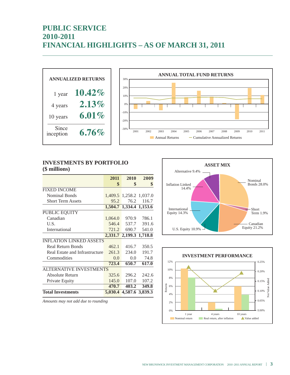# **PUBLIC SERVICE 2010-2011 FINANCIAL HIGHLIGHTS – AS OF MARCH 31, 2011**





#### **INVESTMENTS BY PORTFOLIO (\$ millions)**

|                                | 2011    | 2010                    | 2009            |
|--------------------------------|---------|-------------------------|-----------------|
|                                | \$      | \$                      | \$              |
| <b>FIXED INCOME</b>            |         |                         |                 |
| <b>Nominal Bonds</b>           |         | 1,409.5 1,258.2 1,037.0 |                 |
| <b>Short Term Assets</b>       | 95.2    | 76.2                    | 116.7           |
|                                |         | 1,504.7 1,334.4 1,153.6 |                 |
| PUBLIC EQUITY                  |         |                         |                 |
| Canadian                       | 1,064.0 | 970.9                   | 786.1           |
| U.S.                           | 546.4   | 537.7                   | 391.6           |
| International                  | 721.2   | 690.7                   | 541.0           |
|                                | 2,331.7 | 2,199.3 1,718.8         |                 |
| <b>INFLATION LINKED ASSETS</b> |         |                         |                 |
| <b>Real Return Bonds</b>       | 462.1   | 416.7                   | 350.5           |
| Real Estate and Infrastructure | 261.3   | 234.0                   | 191.7           |
| Commodities                    | 0.0     | $0.0\degree$            | 74.8            |
|                                | 723.4   | 650.7                   | 617.0           |
| <b>ALTERNATIVE INVESTMENTS</b> |         |                         |                 |
| Absolute Return                | 325.6   | 296.2                   | 242.6           |
| Private Equity                 | 145.0   | 107.0                   | 107.2           |
|                                | 470.7   | 403.2                   | 349.8           |
| <b>Total Investments</b>       | 5,030.4 |                         | 4,587.6 3,839.3 |

*Amounts may not add due to rounding*



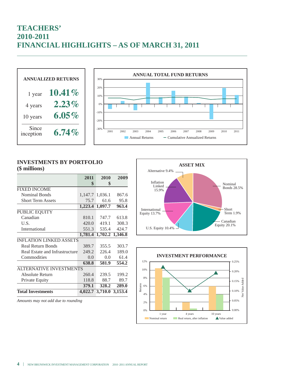# **TEACHERS' 2010-2011 FINANCIAL HIGHLIGHTS – AS OF MARCH 31, 2011**



#### **INVESTMENTS BY PORTFOLIO (\$ millions)**

|                                | 2011            | 2010                    | 2009  |
|--------------------------------|-----------------|-------------------------|-------|
|                                | \$              | \$                      |       |
| <b>FIXED INCOME</b>            |                 |                         |       |
| <b>Nominal Bonds</b>           | 1,147.7 1,036.1 |                         | 867.6 |
| <b>Short Term Assets</b>       | 75.7            | 61.6                    | 95.8  |
|                                | 1,223.4 1,097.7 |                         | 963.4 |
| PUBLIC EQUITY                  |                 |                         |       |
| Canadian                       | 810.1           | 747.7                   | 613.8 |
| U.S.                           | 420.0           | 419.1                   | 308.3 |
| International                  | 551.3           | 535.4                   | 424.7 |
|                                | 1,781.4         | 1,702.2 1,346.8         |       |
| <b>INFLATION LINKED ASSETS</b> |                 |                         |       |
| <b>Real Return Bonds</b>       | 389.7           | 355.5                   | 303.7 |
| Real Estate and Infrastructure | 249.2           | 226.4                   | 189.0 |
| Commodities                    | $0.0^{\circ}$   | 0.0                     | 61.4  |
|                                | 638.8           | 581.9                   | 554.2 |
| <b>ALTERNATIVE INVESTMENTS</b> |                 |                         |       |
| Absolute Return                | 260.4           | 239.5                   | 199.2 |
| Private Equity                 | 118.8           | 88.7                    | 89.7  |
|                                | 379.1           | 328.2                   | 289.0 |
| <b>Total Investments</b>       |                 | 4,022.7 3,710.0 3,153.4 |       |

*Amounts may not add due to rounding*



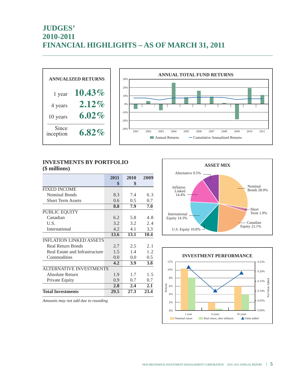# **JUDGES' 2010-2011 FINANCIAL HIGHLIGHTS – AS OF MARCH 31, 2011**





#### **INVESTMENTS BY PORTFOLIO (\$ millions)**

|                                | 2011 | 2010 | 2009 |
|--------------------------------|------|------|------|
|                                | \$   | \$   |      |
| <b>FIXED INCOME</b>            |      |      |      |
| Nominal Bonds                  | 8.3  | 7.4  | 6.3  |
| <b>Short Term Assets</b>       | 0.6  | 0.5  | 0.7  |
|                                | 8.8  | 7.9  | 7.0  |
| PUBLIC EQUITY                  |      |      |      |
| Canadian                       | 6.2  | 5.8  | 4.8  |
| U.S.                           | 3.2  | 3.2  | 2.4  |
| International                  | 4.2  | 4.1  | 3.3  |
|                                | 13.6 | 13.1 | 10.4 |
| <b>INFLATION LINKED ASSETS</b> |      |      |      |
| <b>Real Return Bonds</b>       | 2.7  | 2.5  | 2.1  |
| Real Estate and Infrastructure | 1.5  | 1.4  | 1.2  |
| Commodities                    | 0.0  | 0.0  | 0.5  |
|                                | 4.2  | 3.9  | 3.8  |
| <b>ALTERNATIVE INVESTMENTS</b> |      |      |      |
| Absolute Return                | 1.9  | 1.7  | 1.5  |
| Private Equity                 | 0.9  | 0.7  | 0.7  |
|                                | 2.8  | 2.4  | 2.1  |
| <b>Total Investments</b>       | 29.5 | 27.3 | 23.4 |

**ASSET MIX** Nominal Bonds 28.0% Short Term 1.9% Canadian Equity 21.1% U.S. Equity 10.8% International Equity 14.3% Inflation Linked 14.4% Alternative 9.5%



*Amounts may not add due to rounding*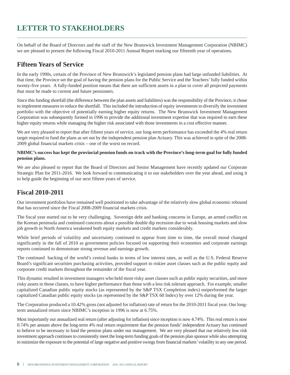# **LETTER TO STAKEHOLDERS**

On behalf of the Board of Directors and the staff of the New Brunswick Investment Management Corporation (NBIMC) we are pleased to present the following Fiscal 2010-2011 Annual Report marking our fifteenth year of operations.

# **Fifteen Years of Service**

In the early 1990s, certain of the Province of New Brunswick's legislated pension plans had large unfunded liabilities. At that time, the Province set the goal of having the pension plans for the Public Service and the Teachers'fully funded within twenty-five years. A fully-funded position means that there are sufficient assets in a plan to cover all projected payments that must be made to current and future pensioners.

Since this funding shortfall (the difference between the plan assets and liabilities) was the responsibility of the Province, it chose to implement measures to reduce the shortfall. This included the introduction of equity investments to diversify the investment portfolio with the objective of potentially earning higher equity returns. The New Brunswick Investment Management Corporation was subsequently formed in 1996 to provide the additional investment expertise that was required to earn these higher equity returns while managing the higher risk associated with those investments in a cost effective manner.

We are very pleased to report that after fifteen years of service, our long-term performance has exceeded the 4% real return target required to fund the plans as set out by the independent pension plan Actuary. This was achieved in spite of the 2008- 2009 global financial markets crisis – one of the worst on record.

#### NBIMC's success has kept the provincial pension funds on track with the Province's long-term goal for fully funded **pension plans.**

We are also pleased to report that the Board of Directors and Senior Management have recently updated our Corporate Strategic Plan for 2011-2016. We look forward to communicating it to our stakeholders over the year ahead, and using it to help guide the beginning of our next fifteen years of service.

# **Fiscal 2010-2011**

Our investment portfolios have remained well positioned to take advantage of the relatively slow global economic rebound that has occurred since the Fiscal 2008-2009 financial markets crisis.

The fiscal year started out to be very challenging. Sovereign debt and banking concerns in Europe, an armed conflict on the Korean peninsula and continued concerns about a possible double dip recession due to weak housing markets and slow job growth in North America weakened both equity markets and credit markets considerably.

While brief periods of volatility and uncertainty continued to appear from time to time, the overall mood changed significantly in the fall of 2010 as government policies focused on supporting their economies and corporate earnings reports continued to demonstrate strong revenue and earnings growth.

The continued backing of the world's central banks in terms of low interest rates, as well as the U.S. Federal Reserve Board's significant securities purchasing activities, provided support to riskier asset classes such as the public equity and corporate credit markets throughout the remainder of the fiscal year.

This dynamic resulted in investment managers who held more risky asset classes such as public equity securities, and more risky assets in those classes, to have higher performance than those with a less risk tolerant approach. For example, smaller capitalized Canadian public equity stocks (as represented by the S&P TSX Completion index) outperformed the larger capitalized Canadian public equity stocks (as represented by the S&P TSX 60 Index) by over 12% during the year.

The Corporation produced a 10.42% gross (not adjusted for inflation) rate of return for the 2010-2011 fiscal year. Our longterm annualized return since NBIMC's inception in 1996 is now at 6.75%.

Most importantly our annualized real return (after adjusting for inflation) since inception is now 4.74%. This real return is now 0.74% per annum above the long-term 4% real return requirement that the pension funds'independent Actuary has continued to believe to be necessary to fund the pension plans under our management. We are very pleased that our relatively low risk investment approach continuesto consistently meet the long-term funding goals of the pension plan sponsor while also attempting to minimize the exposure to the potential of large negative and positive swingsfrom financial markets'volatility in any one period.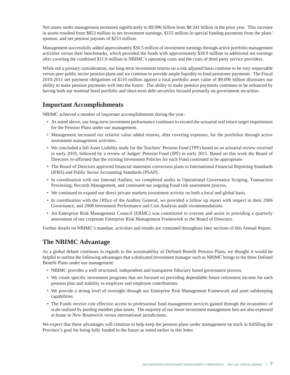Net assets under management increased significantly to \$9.096 billion from \$8.341 billion in the prior year. This increase in assets resulted from \$853 million in net investment earnings, \$155 million in special funding payments from the plans' sponsor, and net pension payouts of \$253 million.

Management successfully added approximately \$30.5 million of investment earnings through active portfolio management activities versus their benchmarks, which provided the funds with approximately \$18.9 million in additional net earnings after covering the combined \$11.6 million in NBIMC's operating costs and the costs of third party service providers.

While not a primary consideration, our long-term investment returns on a risk adjusted basis continue to be very respectable versus peer public sector pension plans and we continue to provide ample liquidity to fund pensioner payments. The Fiscal 2010-2011 net payment obligations of \$110 million against a total portfolio asset value of \$9.096 billion illustrates our ability to make pension payments well into the future. The ability to make pension payments continues to be enhanced by having both our nominal bond portfolio and short-term debt securities focused primarily on government securities.

### **Important Accomplishments**

NBIMC achieved a number of important accomplishments during the year:

- As noted above, our long-term investment performance continues to exceed the actuarial real return target requirement for the Pension Plans under our management.
- Management increased our relative value added returns, after covering expenses, for the portfolios through active investment management activities.
- We concluded a full Asset Liability study for the Teachers' Pension Fund (TPF) based on an actuarial review received in early 2010, followed by a review of Judges' Pension Fund (JPF) in early 2011. Based on this work the Board of Directors re-affirmed that the existing Investment Policies for each Fund continued to be appropriate.
- The Board of Directors approved financial statement conversion plans to International Financial Reporting Standards (IFRS) and Public Sector Accounting Standards (PSAP).
- In coordination with our Internal Auditor, we completed audits in Operational Governance Scoping, Transaction Processing, Records Management, and continued our ongoing fraud risk assessment process.
- We continued to expand our direct private markets investment activity on both a local and global basis.
- In coordination with the Office of the Auditor General, we provided a follow up report with respect to their 2006 Governance, and 2008 Investment Performance and Cost Analysis audit recommendations.
- An Enterprise Risk Management Council (ERMC) was constituted to oversee and assist in providing a quarterly assessment of our corporate Enterprise Risk Management Framework to the Board of Directors.

Further details on NBIMC's mandate, activities and results are contained throughout later sections of this Annual Report.

# **The NBIMC Advantage**

As a global debate continues in regards to the sustainability of Defined Benefit Pension Plans, we thought it would be helpful to outline the following advantages that a dedicated investment manager such as NBIMC brings to the three Defined Benefit Plans under our management:

- NBIMC provides a well structured, independent and transparent fiduciary based governance process.
- We create specific investment programs that are focused on providing dependable future retirement income for each pension plan and stability in employer and employee contributions.
- We provide a strong level of oversight through our Enterprise Risk Management Framework and asset safekeeping capabilities.
- The Funds receive cost effective access to professional fund management services gained through the economies of scale realized by pooling member plan assets. The majority of our lower investment management fees are also expensed at home in New Brunswick versus international jurisdictions.

We expect that these advantages will continue to help keep the pension plans under management on track in fulfilling the Province's goal for being fully funded in the future as noted earlier in this letter.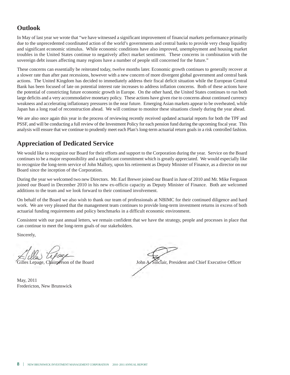# **Outlook**

In May of last year we wrote that "we have witnessed a significant improvement of financial markets performance primarily due to the unprecedented coordinated action of the world's governments and central banks to provide very cheap liquidity and significant economic stimulus. While economic conditions have also improved, unemployment and housing market troubles in the United States continue to negatively affect market sentiment. These concerns in combination with the sovereign debt issues affecting many regions have a number of people still concerned for the future."

These concerns can essentially be reiterated today, twelve months later. Economic growth continues to generally recover at a slower rate than after past recessions, however with a new concern of more divergent global government and central bank actions. The United Kingdom has decided to immediately address their fiscal deficit situation while the European Central Bank has been focused of late on potential interest rate increases to address inflation concerns. Both of these actions have the potential of constricting future economic growth in Europe. On the other hand, the United States continues to run both large deficits and a very accommodative monetary policy. These actions have given rise to concerns about continued currency weakness and accelerating inflationary pressures in the near future. Emerging Asian markets appear to be overheated, while Japan has a long road of reconstruction ahead. We will continue to monitor these situations closely during the year ahead.

We are also once again this year in the process of reviewing recently received updated actuarial reports for both the TPF and PSSF, and will be conducting a full review of the Investment Policy for each pension fund during the upcoming fiscal year. This analysis will ensure that we continue to prudently meet each Plan's long-term actuarial return goals in a risk controlled fashion.

### **Appreciation of Dedicated Service**

We would like to recognize our Board for their efforts and support to the Corporation during the year. Service on the Board continues to be a major responsibility and a significant commitment which is greatly appreciated. We would especially like to recognize the long-term service of John Mallory, upon his retirement as Deputy Minister of Finance, as a director on our Board since the inception of the Corporation.

During the year we welcomed two new Directors. Mr. Earl Brewer joined our Board in June of 2010 and Mr. Mike Ferguson joined our Board in December 2010 in his new ex-officio capacity as Deputy Minister of Finance. Both are welcomed additions to the team and we look forward to their continued involvement.

On behalf of the Board we also wish to thank our team of professionals at NBIMC for their continued diligence and hard work. We are very pleased that the management team continues to provide long-term investment returns in excess of both actuarial funding requirements and policy benchmarks in a difficult economic environment.

Consistent with our past annual letters, we remain confident that we have the strategy, people and processes in place that can continue to meet the long-term goals of our stakeholders.

Sincerely,

Gilles Lepage, Chairperson of the Board John A. Sinclair, President and Chief Executive Officer

May, 2011 Fredericton, New Brunswick

**8 I** NEW BRUNSWICK INVESTMENT MANAGEMENT CORPORATION <sup>2010</sup> -2011 ANNUALREPORT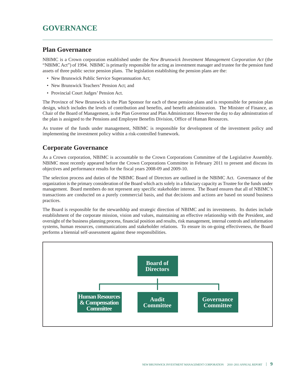# **GOVERNANCE**

### **Plan Governance**

NBIMC is a Crown corporation established under the *New Brunswick Investment Management Corporation Act* (the "NBIMC Act") of 1994. NBIMC is primarily responsible for acting as investment manager and trustee for the pension fund assets of three public sector pension plans. The legislation establishing the pension plans are the:

- New Brunswick Public Service Superannuation Act;
- New Brunswick Teachers' Pension Act; and
- Provincial Court Judges' Pension Act.

The Province of New Brunswick is the Plan Sponsor for each of these pension plans and is responsible for pension plan design, which includes the levels of contribution and benefits, and benefit administration. The Minister of Finance, as Chair of the Board of Management, is the Plan Governor and Plan Administrator. However the day to day adminstration of the plan is assigned to the Pensions and Employee Benefits Division, Office of Human Resources.

As trustee of the funds under management, NBIMC is responsible for development of the investment policy and implementing the investment policy within a risk-controlled framework.

### **Corporate Governance**

As a Crown corporation, NBIMC is accountable to the Crown Corporations Committee of the Legislative Assembly. NBIMC most recently appeared before the Crown Corporations Committee in February 2011 to present and discuss its objectives and performance results for the fiscal years 2008-09 and 2009-10.

The selection process and duties of the NBIMC Board of Directors are outlined in the NBIMC Act. Governance of the organization is the primary consideration of the Board which acts solely in a fiduciary capacity as Trustee for the funds under management. Board members do not represent any specific stakeholder interest. The Board ensures that all of NBIMC's transactions are conducted on a purely commercial basis, and that decisions and actions are based on sound business practices.

The Board is responsible for the stewardship and strategic direction of NBIMC and its investments. Its duties include establishment of the corporate mission, vision and values, maintaining an effective relationship with the President, and oversight of the business planning process, financial position and results, risk management, internal controls and information systems, human resources, communications and stakeholder relations. To ensure its on-going effectiveness, the Board performs a biennial self-assessment against these responsibilities.

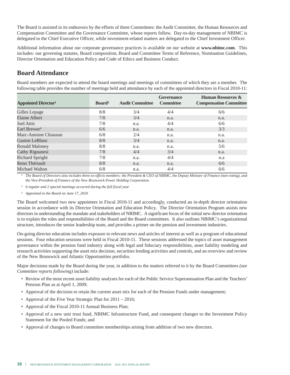The Board is assisted in its endeavors by the efforts of three Committees: the Audit Committee, the Human Resources and Compensation Committee and the Governance Committee, whose reports follow. Day-to-day management of NBIMC is delegated to the Chief Executive Officer, while investment-related matters are delegated to the Chief Investment Officer.

Additional information about our corporate governance practices is available on our website at **www.nbimc.com**. This includes: our governing statutes, Board composition, Board and Committee Terms of Reference, Nomination Guidelines, Director Orientation and Education Policy and Code of Ethics and Business Conduct.

### **Board Attendance**

Board members are expected to attend the board meetings and meetings of committees of which they are a member. The following table provides the number of meetings held and attendance by each of the appointed directors in Fiscal 2010-11:

| <b>Appointed Director</b> <sup>1</sup> | Board <sup>2</sup> | <b>Audit Committee</b> | Governance<br><b>Committee</b> | Human Resources &<br><b>Compensation Committee</b> |
|----------------------------------------|--------------------|------------------------|--------------------------------|----------------------------------------------------|
| Gilles Lepage                          | 8/8                | 3/4                    | 4/4                            | 6/6                                                |
| Elaine Albert                          | 7/8                | 3/4                    | n.a.                           | n.a.                                               |
| Joel Attis                             | 7/8                | n.a.                   | 4/4                            | 6/6                                                |
| Earl Brewer <sup>3</sup>               | 6/6                | n.a.                   | n.a.                           | 3/3                                                |
| Marc-Antoine Chiasson                  | 6/8                | 2/4                    | n.a.                           | n.a.                                               |
| <b>Gaston LeBlanc</b>                  | 8/8                | 3/4                    | n.a.                           | n.a.                                               |
| Ronald Maloney                         | 8/8                | n.a.                   | n.a.                           | 5/6                                                |
| Cathy Rignanesi                        | 7/8                | 4/4                    | 3/4                            | n.a.                                               |
| <b>Richard Speight</b>                 | 7/8                | n.a.                   | 4/4                            | n.a                                                |
| Reno Thériault                         | 8/8                | n.a.                   | n.a.                           | 6/6                                                |
| Michael Walton                         | 6/8                | n.a.                   | 4/4                            | 6/6                                                |

<sup>1</sup> The Board of Directors also includes three ex-officio members: the President & CEO of NBIMC, the Deputy Minister of Finance (non-voting), and *the Vice-President of Finance of the New Brunswick Power Holding Corporation.*

*² 6 regular and 2 special meetings occurred during the full fiscal year*

*³ Appointed to the Board on June 17, 2010*

The Board welcomed two new appointees in Fiscal 2010-11 and accordingly, conducted an in-depth director orientation session in accordance with its Director Orientation and Education Policy. The Director Orientation Program assists new directors in understanding the mandate and stakeholders of NBIMC. Asignificant focus of the initial new director orientation is to explain the roles and responsibilities of the Board and the Board committees. It also outlines NBIMC's organizational structure, introduces the senior leadership team, and provides a primer on the pension and investment industries.

On-going director education includes exposure to relevant news and articles of interest as well as a program of educational sessions. Four education sessions were held in Fiscal 2010-11. These sessions addressed the topics of asset management governance within the pension fund industry along with legal and fiduciary responsibilities, asset liability modeling and research activities supporting the asset mix decision, securities lending activities and controls, and an overview and review of the New Brunswick and Atlantic Opportunities portfolio.

Major decisions made by the Board during the year, in addition to the matters referred to it by the Board Committees *(see Committee reports following)* include:

- Review of the most recent asset liability analyses for each of the Public Service Superannuation Plan and the Teachers' Pension Plan as at April 1, 2009;
- Approval of the decision to retain the current asset mix for each of the Pension Funds under management;
- Approval of the Five Year Strategic Plan for 2011 2016;
- Approval of the Fiscal 2010-11 Annual Business Plan;
- Approval of a new unit trust fund, NBIMC Infrastructure Fund, and consequent changes to the Investment Policy Statement for the Pooled Funds; and
- Approval of changes to Board committee memberships arising from addition of two new directors.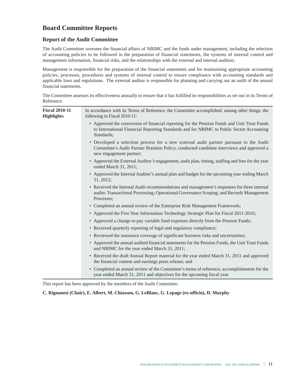### **Board Committee Reports**

#### **Report of the Audit Committee**

The Audit Committee oversees the financial affairs of NBIMC and the funds under management, including the selection of accounting policies to be followed in the preparation of financial statements, the systems of internal control and management information, financial risks, and the relationships with the external and internal auditors.

Management is responsible for the preparation of the financial statements and for maintaining appropriate accounting policies, processes, procedures and systems of internal control to ensure compliance with accounting standards and applicable laws and regulations. The external auditor is responsible for planning and carrying out an audit of the annual financial statements.

The Committee assesses its effectiveness annually to ensure that it has fulfilled its responsibilities as set out in its Terms of Reference.

| <b>Fiscal 2010-11</b><br><b>Highlights</b> | In accordance with its Terms of Reference, the Committee accomplished, among other things, the<br>following in Fiscal 2010-11:                                                                                |
|--------------------------------------------|---------------------------------------------------------------------------------------------------------------------------------------------------------------------------------------------------------------|
|                                            | • Approved the conversion of financial reporting for the Pension Funds and Unit Trust Funds<br>to International Financial Reporting Standards and for NBIMC to Public Sector Accounting<br>Standards;         |
|                                            | • Developed a selection process for a new external audit partner pursuant to the Audit<br>Committee's Audit Partner Rotation Policy, conducted candidate interviews and approved a<br>new engagement partner; |
|                                            | • Approved the External Auditor's engagement, audit plan, timing, staffing and fees for the year<br>ended March 31, 2011;                                                                                     |
|                                            | • Approved the Internal Auditor's annual plan and budget for the upcoming year ending March<br>31, 2012;                                                                                                      |
|                                            | • Received the Internal Audit recommendations and management's responses for three internal<br>audits: Transactional Processing; Operational Governance Scoping; and Records Management<br>Processes:         |
|                                            | • Completed an annual review of the Enterprise Risk Management Framework;                                                                                                                                     |
|                                            | • Approved the Five Year Information Technology Strategic Plan for Fiscal 2011-2016;                                                                                                                          |
|                                            | • Approved a change to pay variable fund expenses directly from the Pension Funds;                                                                                                                            |
|                                            | • Received quarterly reporting of legal and regulatory compliance;                                                                                                                                            |
|                                            | • Reviewed the insurance coverage of significant business risks and uncertainties;                                                                                                                            |
|                                            | • Approved the annual audited financial statements for the Pension Funds, the Unit Trust Funds<br>and NBIMC for the year ended March 31, 2011;                                                                |
|                                            | • Received the draft Annual Report material for the year ended March 31, 2011 and approved<br>the financial content and earnings press release; and                                                           |
|                                            | • Completed an annual review of the Committee's terms of reference, accomplishments for the<br>year ended March 31, 2011 and objectives for the upcoming fiscal year.                                         |

This report has been approved by the members of the Audit Committee.

**C. Rignanesi (Chair), E. Albert, M. Chiasson, G. LeBlanc, G. Lepage (ex-officio), D. Murphy**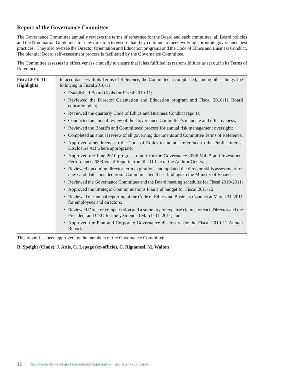#### **Report of the Governance Committee**

The Governance Committee annually reviews the terms of reference for the Board and each committee, all Board policies and the Nomination Guidelines for new directors to ensure that they continue to meet evolving corporate governance best practices. They also oversee the Director Orientation and Education programs and the Code of Ethics and Business Conduct. The biennial Board self-assessment process is facilitated by the Governance Committee.

The Committee assesses its effectiveness annually to ensure that it has fulfilled its responsibilities as set out in its Terms of Reference.

| <b>Fiscal 2010-11</b><br><b>Highlights</b> | In accordance with its Terms of Reference, the Committee accomplished, among other things, the<br>following in Fiscal 2010-11:                                                       |
|--------------------------------------------|--------------------------------------------------------------------------------------------------------------------------------------------------------------------------------------|
|                                            | • Established Board Goals for Fiscal 2010-11;                                                                                                                                        |
|                                            | • Reviewed the Director Orientation and Education program and Fiscal 2010-11 Board<br>education plan;                                                                                |
|                                            | • Reviewed the quarterly Code of Ethics and Business Conduct reports;                                                                                                                |
|                                            | • Conducted an annual review of the Governance Committee's mandate and effectiveness;                                                                                                |
|                                            | • Reviewed the Board's and Committees' process for annual risk management oversight;                                                                                                 |
|                                            | • Completed an annual review of all governing documents and Committee Terms of Reference;                                                                                            |
|                                            | • Approved amendments to the Code of Ethics to include reference to the Public Interest<br>Disclosure Act where appropriate;                                                         |
|                                            | • Approved the June 2010 progress report for the Governance 2006 Vol. 2 and Investment<br>Performance 2008 Vol. 2 Reports from the Office of the Auditor General;                    |
|                                            | • Reviewed upcoming director term expirations and updated the director skills assessment for<br>new candidate consideration. Communicated these findings to the Minister of Finance; |
|                                            | • Reviewed the Governance Committee and the Board meeting schedules for Fiscal 2010-2011;                                                                                            |
|                                            | • Approved the Strategic Communications Plan and budget for Fiscal 2011-12;                                                                                                          |
|                                            | • Reviewed the annual reporting of the Code of Ethics and Business Conduct at March 31, 2011<br>for employees and directors;                                                         |
|                                            | • Reviewed Director compensation and a summary of expense claims for each Director and the<br>President and CEO for the year ended March 31, 2011; and                               |
|                                            | • Approved the Plan and Corporate Governance disclosure for the Fiscal 2010-11 Annual<br>Report.                                                                                     |

This report has been approved by the members of the Governance Committee.

#### **R. Speight (Chair), J. Attis, G. Lepage (ex-officio), C. Rignanesi, M. Walton**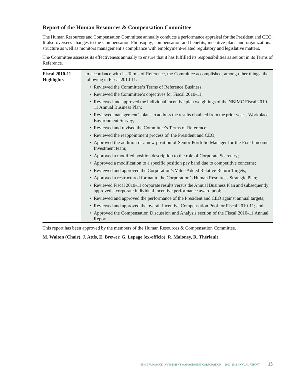#### **Report of the Human Resources & Compensation Committee**

The Human Resources and Compensation Committee annually conducts a performance appraisal for the President and CEO. It also oversees changes to the Compensation Philosophy, compensation and benefits, incentive plans and organizational structure as well as monitors management's compliance with employment-related regulatory and legislative matters.

The Committee assesses its effectiveness annually to ensure that it has fulfilled its responsibilities as set out in its Terms of Reference.

| <b>Fiscal 2010-11</b><br><b>Highlights</b> | In accordance with its Terms of Reference, the Committee accomplished, among other things, the<br>following in Fiscal 2010-11:                                    |
|--------------------------------------------|-------------------------------------------------------------------------------------------------------------------------------------------------------------------|
|                                            | • Reviewed the Committee's Terms of Reference Business;                                                                                                           |
|                                            | • Reviewed the Committee's objectives for Fiscal 2010-11;                                                                                                         |
|                                            | • Reviewed and approved the individual incentive plan weightings of the NBIMC Fiscal 2010-<br>11 Annual Business Plan;                                            |
|                                            | • Reviewed management's plans to address the results obtained from the prior year's Workplace<br><b>Environment Survey;</b>                                       |
|                                            | • Reviewed and revised the Committee's Terms of Reference;                                                                                                        |
|                                            | • Reviewed the reappointment process of the President and CEO;                                                                                                    |
|                                            | • Approved the addition of a new position of Senior Portfolio Manager for the Fixed Income<br>Investment team;                                                    |
|                                            | • Approved a modified position description to the role of Corporate Secretary;                                                                                    |
|                                            | • Approved a modification to a specific position pay band due to competitive concerns;                                                                            |
|                                            | • Reviewed and approved the Corporation's Value Added Relative Return Targets;                                                                                    |
|                                            | • Approved a restructured format to the Corporation's Human Resources Strategic Plan;                                                                             |
|                                            | • Reviewed Fiscal 2010-11 corporate results versus the Annual Business Plan and subsequently<br>approved a corporate individual incentive performance award pool; |
|                                            | • Reviewed and approved the performance of the President and CEO against annual targets;                                                                          |
|                                            | • Reviewed and approved the overall Incentive Compensation Pool for Fiscal 2010-11; and                                                                           |
|                                            | • Approved the Compensation Discussion and Analysis section of the Fiscal 2010-11 Annual<br>Report.                                                               |

This report has been approved by the members of the Human Resources & Compensation Committee.

#### **M. Walton (Chair), J. Attis, E. Brewer, G. Lepage (ex-officio), R. Maloney, R. Thériault**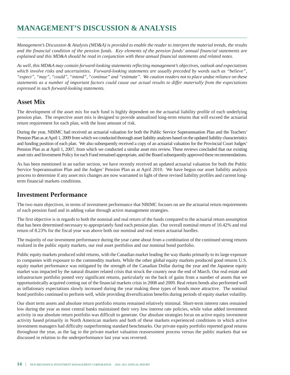# **MANAGEMENT'S DISCUSSION & ANALYSIS**

Management's Discussion & Analysis (MD&A) is provided to enable the reader to interpret the material trends, the results and the financial condition of the pension funds. Key elements of the pension funds' annual financial statements are explained and this MD&A should be read in conjunction with these annual financial statements and related notes.

*As well, this MD&A may contain forward-looking statements reflecting management's objectives, outlook and expectations which involve risks and uncertainties. Forward-looking statements are usually preceded by words such as "believe",* "expect", "may", "could", "intend", "continue" and "estimate". We caution readers not to place undue reliance on these statements as a number of important factors could cause our actual results to differ materially from the expectations *expressed in such forward-looking statements.*

### **Asset Mix**

The development of the asset mix for each fund is highly dependent on the actuarial liability profile of each underlying pension plan. The respective asset mix is designed to provide annualized long-term returns that will exceed the actuarial return requirement for each plan, with the least amount of risk.

During the year, NBIMC had received an actuarial valuation for both the Public Service Superannuation Plan and the Teachers' Pension Plan as at April 1, 2009 from which we conducted thorough asset liability analyses based on the updated liability characteristics and funding position of each plan. We also subsequently received a copy of an actuarial valuation for the Provincial Court Judges' Pension Plan as at April 1, 2007, from which we conducted a similar asset mix review. These reviews concluded that our existing asset mix and Investment Policy for each Fund remained appropriate, and the Board subsequently approved these recommendations.

As has been mentioned in an earlier section, we have recently received an updated actuarial valuation for both the Public Service Superannuation Plan and the Judges' Pension Plan as at April 2010. We have begun our asset liability analysis process to determine if any asset mix changes are now warranted in light of these revised liability profiles and current longterm financial markets conditions.

### **Investment Performance**

The two main objectives, in terms of investment performance that NBIMC focuses on are the actuarial return requirements of each pension fund and in adding value through active management strategies.

The first objective is in regards to both the nominal and real return of the funds compared to the actuarial return assumption that has been determined necessary to appropriately fund each pension plan. Our overall nominal return of 10.42% and real return of 8.23% for the fiscal year was above both our nominal and real return actuarial hurdles.

The majority of our investment performance during the year came about from a combination of the continued strong returns realized in the public equity markets, our real asset portfolios and our nominal bond portfolio.

Public equity markets produced solid returns, with the Canadian market leading the way thanks primarily to its large exposure to companies with exposure to the commodity markets. While the other global equity markets produced good returns U.S. equity market performance was mitigated by the strength of the Canadian Dollar during the year and the Japanese equity market was impacted by the natural disaster related crisis that struck the country near the end of March. Our real estate and infrastructure portfolio posted very significant returns, particularly on the back of gains from a number of assets that we opportunistically acquired coming out of the financial markets crisis in 2008 and 2009. Real return bonds also performed well as inflationary expectations slowly increased during the year making these types of bonds more attractive. The nominal bond portfolio continued to perform well, while providing diversification benefits during periods of equity market volatility.

Our short term assets and absolute return portfolio returns remained relatively minimal. Short-term interest rates remained low during the year as most central banks maintained their very low interest rate policies, while value added investment activity in our absolute return portfolio was difficult to generate. Our absolute strategies focus on active equity investment activity based primarily in North American markets and both of these markets experienced conditions in which active investment managers had difficulty outperforming standard benchmarks. Our private equity portfolio reported good returns throughout the year, as the lag in the private market valuation reassessment process versus the public markets that we discussed in relation to the underperformance last year was reversed.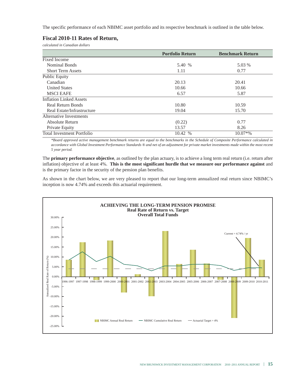The specific performance of each NBIMC asset portfolio and its respective benchmark is outlined in the table below.

#### **Fiscal 2010-11 Rates of Return,**

*calculated in Canadian dollars*

|                                   | <b>Portfolio Return</b> | <b>Benchmark Return</b> |
|-----------------------------------|-------------------------|-------------------------|
| Fixed Income                      |                         |                         |
| Nominal Bonds                     | 5.40 %                  | 5.03 %                  |
| <b>Short Term Assets</b>          | 1.11                    | 0.77                    |
| <b>Public Equity</b>              |                         |                         |
| Canadian                          | 20.13                   | 20.41                   |
| <b>United States</b>              | 10.66                   | 10.66                   |
| <b>MSCI EAFE</b>                  | 6.57                    | 5.87                    |
| <b>Inflation Linked Assets</b>    |                         |                         |
| <b>Real Return Bonds</b>          | 10.80                   | 10.59                   |
| Real Estate/Infrastructure        | 19.04                   | 15.70                   |
| Alternative Investments           |                         |                         |
| Absolute Return                   | (0.22)                  | 0.77                    |
| Private Equity                    | 13.57                   | 8.26                    |
| <b>Total Investment Portfolio</b> | 10.42 %                 | $10.07*$ %              |

\*Board approved active management benchmark returns are equal to the benchmarks in the Schedule of Composite Performance calculated in accordance with Global Investment Performance Standards ® and net of an adjustment for private market investments made within the most recent *5 year period.*

The **primary performance objective**, as outlined by the plan actuary, is to achieve a long term real return (i.e. return after inflation) objective of at least 4%. **This is the most significant hurdle that we measure our performance against** and is the primary factor in the security of the pension plan benefits.

As shown in the chart below, we are very pleased to report that our long-term annualized real return since NBIMC's inception is now 4.74% and exceeds this actuarial requirement.

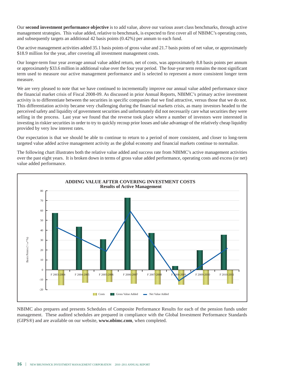Our **second investment performance objective** is to add value, above our various asset class benchmarks, through active management strategies. This value added, relative to benchmark, is expected to first cover all of NBIMC's operating costs, and subsequently targets an additional 42 basis points (0.42%) per annum to each fund.

Our active management activities added 35.1 basis points of gross value and 21.7 basis points of net value, or approximately \$18.9 million for the year, after covering all investment management costs.

Our longer-term four year average annual value added return, net of costs, was approximately 8.8 basis points per annum or approximately \$33.6 million in additional value over the four year period. The four-year term remains the most significant term used to measure our active management performance and is selected to represent a more consistent longer term measure.

We are very pleased to note that we have continued to incrementally improve our annual value added performance since the financial market crisis of Fiscal 2008-09. As discussed in prior Annual Reports, NBIMC's primary active investment activity is to differentiate between the securities in specific companies that we find attractive, versus those that we do not. This differentiation activity became very challenging during the financial markets crisis, as many investors headed to the perceived safety and liquidity of government securities and unfortunately did not necessarily care what securities they were selling in the process. Last year we found that the reverse took place where a number of investors were interested in investing in riskier securities in order to try to quickly recoup prior losses and take advantage of the relatively cheap liquidity provided by very low interest rates.

Our expectation is that we should be able to continue to return to a period of more consistent, and closer to long-term targeted value added active management activity as the global economy and financial markets continue to normalize.

The following chart illustrates both the relative value added and success rate from NBIMC's active management activities over the past eight years. It is broken down in terms of gross value added performance, operating costs and excess (or net) value added performance.



NBIMC also prepares and presents Schedules of Composite Performance Results for each of the pension funds under management. These audited schedules are prepared in compliance with the Global Investment Performance Standards (GIPS®) and are available on our website, **www.nbimc.com**, when completed.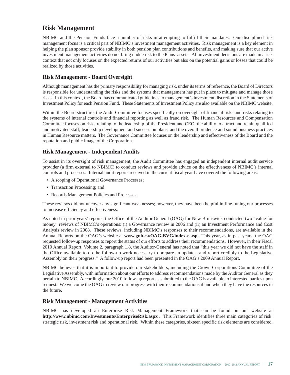### **Risk Management**

NBIMC and the Pension Funds face a number of risks in attempting to fulfill their mandates. Our disciplined risk management focus is a critical part of NBIMC's investment management activities. Risk management is a key element in helping the plan sponsor provide stability in both pension plan contributions and benefits, and making sure that our active investment management activities do not bring undue risk to the Plans' assets. All investment decisions are made in a risk context that not only focuses on the expected returns of our activities but also on the potential gains or losses that could be realized by those activities.

#### **Risk Management - Board Oversight**

Although management has the primary responsibility for managing risk, under its terms of reference, the Board of Directors is responsible for understanding the risks and the systems that management has put in place to mitigate and manage those risks. In this context, the Board has communicated guidelines to management's investment discretion in the Statements of Investment Policy for each Pension Fund. These Statements of Investment Policy are also available on the NBIMC website.

Within the Board structure, the Audit Committee focuses specifically on oversight of financial risks and risks relating to the systems of internal controls and financial reporting as well as fraud risk. The Human Resources and Compensation Committee focuses on risks relating to the leadership of the President and CEO, the ability to attract and retain qualified and motivated staff, leadership development and succession plans, and the overall prudence and sound business practices in Human Resource matters. The Governance Committee focuses on the leadership and effectiveness of the Board and the reputation and public image of the Corporation.

#### **Risk Management - Independent Audits**

To assist in its oversight of risk management, the Audit Committee has engaged an independent internal audit service provider (a firm external to NBIMC) to conduct reviews and provide advice on the effectiveness of NBIMC's internal controls and processes. Internal audit reports received in the current fiscal year have covered the following areas:

- A scoping of Operational Governance Processes;
- Transaction Processing; and
- Records Management Policies and Processes.

These reviews did not uncover any significant weaknesses; however, they have been helpful in fine-tuning our processes to increase efficiency and effectiveness.

As noted in prior years' reports, the Office of the Auditor General (OAG) for New Brunswick conducted two "value for money" reviews of NBIMC's operations: (i) a Governance review in 2006 and (ii) an Investment Performance and Cost Analysis review in 2008. These reviews, including NBIMC's responses to their recommendations, are available in the Annual Reports on the OAG's website at **www.gnb.ca/OAG-BVG/index-e.asp.** This year, as in past years, the OAG requested follow-up responses to report the status of our efforts to address their recommendations. However, in their Fiscal 2010 Annual Report, Volume 2, paragraph 1.8, the Auditor-General has noted that "this year we did not have the staff in the Office available to do the follow-up work necessary to prepare an update…and report credibly to the Legislative Assembly on their progress." A follow-up report had been presented in the OAG's 2009 Annual Report.

NBIMC believes that it is important to provide our stakeholders, including the Crown Corporations Committee of the Legislative Assembly, with information about our efforts to address recommendations made by the Auditor General as they pertain to NBIMC. Accordingly, our 2010 follow-up report as submitted to the OAG is available to interested parties upon request. We welcome the OAG to review our progress with their recommendations if and when they have the resources in the future.

#### **Risk Management - Management Activities**

NBIMC has developed an Enterprise Risk Management Framework that can be found on our website at **http://www.nbimc.com/Investments/EnterpriseRisk.aspx** . This Framework identifies three main categories of risk: strategic risk, investment risk and operational risk. Within these categories, sixteen specific risk elements are considered.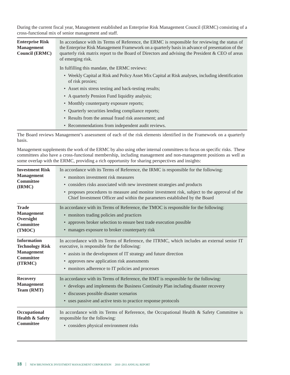During the current fiscal year, Management established an Enterprise Risk Management Council (ERMC) consisting of a cross-functional mix of senior management and staff.

| <b>Enterprise Risk</b> | In accordance with its Terms of Reference, the ERMC is responsible for reviewing the status of                        |
|------------------------|-----------------------------------------------------------------------------------------------------------------------|
| <b>Management</b>      | the Enterprise Risk Management Framework on a quarterly basis in advance of presentation of the                       |
| <b>Council (ERMC)</b>  | quarterly risk matrix report to the Board of Directors and advising the President & CEO of areas<br>of emerging risk. |
|                        | In fulfilling this mandate, the ERMC reviews:                                                                         |
|                        | • Weekly Capital at Risk and Policy Asset Mix Capital at Risk analyses, including identification<br>of risk proxies;  |
|                        | • Asset mix stress testing and back-testing results;                                                                  |
|                        | • A quarterly Pension Fund liquidity analysis;                                                                        |
|                        | • Monthly counterparty exposure reports;                                                                              |
|                        | • Ouarterly securities lending compliance reports;                                                                    |
|                        | • Results from the annual fraud risk assessment; and                                                                  |
|                        | • Recommendations from independent audit reviews.                                                                     |

The Board reviews Management's assessment of each of the risk elements identified in the Framework on a quarterly basis.

Management supplements the work of the ERMC by also using other internal committees to focus on specific risks. These committees also have a cross-functional membership, including management and non-management positions as well as some overlap with the ERMC, providing a rich opportunity for sharing perspectives and insights:

| <b>Investment Risk</b><br><b>Management</b><br><b>Committee</b><br>(IRMC)                        | In accordance with its Terms of Reference, the IRMC is responsible for the following:<br>• monitors investment risk measures<br>• considers risks associated with new investment strategies and products<br>• proposes procedures to measure and monitor investment risk, subject to the approval of the<br>Chief Investment Officer and within the parameters established by the Board |
|--------------------------------------------------------------------------------------------------|-----------------------------------------------------------------------------------------------------------------------------------------------------------------------------------------------------------------------------------------------------------------------------------------------------------------------------------------------------------------------------------------|
| <b>Trade</b><br><b>Management</b><br>Oversight<br><b>Committee</b><br>(TMOC)                     | In accordance with its Terms of Reference, the TMOC is responsible for the following:<br>• monitors trading policies and practices<br>• approves broker selection to ensure best trade execution possible<br>• manages exposure to broker counterparty risk                                                                                                                             |
| <b>Information</b><br><b>Technology Risk</b><br><b>Management</b><br><b>Committee</b><br>(ITRMC) | In accordance with its Terms of Reference, the ITRMC, which includes an external senior IT<br>executive, is responsible for the following:<br>• assists in the development of IT strategy and future direction<br>• approves new application risk assessments<br>• monitors adherence to IT policies and processes                                                                      |
| <b>Recovery</b><br><b>Management</b><br>Team (RMT)                                               | In accordance with its Terms of Reference, the RMT is responsible for the following:<br>• develops and implements the Business Continuity Plan including disaster recovery<br>· discusses possible disaster scenarios<br>• uses passive and active tests to practice response protocols                                                                                                 |
| Occupational<br><b>Health &amp; Safety</b><br><b>Committee</b>                                   | In accordance with its Terms of Reference, the Occupational Health & Safety Committee is<br>responsible for the following:<br>• considers physical environment risks                                                                                                                                                                                                                    |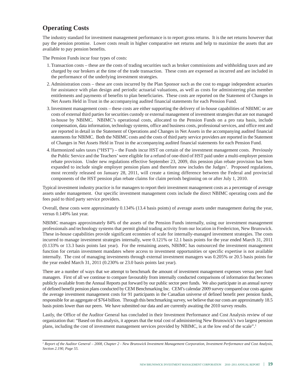### **Operating Costs**

The industry standard for investment management performance is to report gross returns. It is the net returns however that pay the pension promise. Lower costs result in higher comparative net returns and help to maximize the assets that are available to pay pension benefits.

The Pension Funds incur four types of costs:

- 1.Transaction costs these are the costs of trading securities such as broker commissions and withholding taxes and are charged by our brokers at the time of the trade transaction. These costs are expensed as incurred and are included in the performance of the underlying investment strategies.
- 2. Administration costs these are costs incurred by the Plan Sponsor such as the cost to engage independent actuaries for assistance with plan design and periodic actuarial valuations, as well as costs for administering plan member entitlements and payments of benefits to plan beneficiaries. These costs are reported on the Statement of Changes in Net Assets Held in Trust in the accompanying audited financial statements for each Pension Fund.
- 3.Investment management costs these costs are either supporting the delivery of in-house capabilities of NBIMC or are costs of external third parties for securities custody or external management of investment strategies that are not managed in-house by NBIMC. NBIMC's operational costs, allocated to the Pension Funds on a pro rata basis, include compensation, data information, technology systems, office and business costs, professional services, and office rent and are reported in detail in the Statement of Operations and Changes in Net Assets in the accompanying audited financial statements for NBIMC. Both the NBIMC costs and the costs of third party service providers are reported in the Statement of Changes in Net Assets Held in Trust in the accompanying audited financial statements for each Pension Fund.
- 4. Harmonized sales taxes ("HST") the Funds incur HST on certain of the investment management costs. Previously the Public Service and the Teachers'were eligible for a refund of one-third of HST paid under a multi-employer pension rebate provision. Under new regulations effective September 23, 2009, this pension plan rebate provision has been expanded to include single employer pension plans and therefore now includes the Judges'. Proposed regulations, most recently released on January 28, 2011, will create a timing difference between the Federal and provincial components of the HST pension plan rebate claims for claim periods beginning on or after July 1, 2010.

Typical investment industry practice is for managers to report their investment management costs as a percentage of average assets under management. Our specific investment management costs include the direct NBIMC operating costs and the fees paid to third party service providers.

Overall, these costs were approximately 0.134% (13.4 basis points) of average assets under management during the year, versus 0.149% last year.

NBIMC manages approximately 84% of the assets of the Pension Funds internally, using our investment management professionals and technology systems that permit global trading activity from our location in Fredericton, New Brunswick. These in-house capabilities provide significant econmies of scale for internally-managed investment strategies. The costs incurred to manage investment strategies internally, were 0.121% or 12.1 basis points for the year ended March 31, 2011 (0.133% or 13.3 basis points last year). For the remaining assets, NBIMC has outsourced the investment management function for certain investment mandates where access to investment opportunities or specific expertise is not available internally. The cost of managing investments through external investment managers was 0.205% or 20.5 basis points for the year ended March 31, 2011 (0.230% or 23.0 basis points last year).

There are a number of ways that we attempt to benchmark the amount of investment management expenses versus peer fund managers. First of all we continue to compare favourably from internally conducted comparisons of information that becomes publicly available from the Annual Reports put forward by our public sector peer funds. We also participate in an annual survey of defined benefit pension plans conducted by CEM Benchmarking Inc. CEM's calendar 2009 survey compared our costs against the average investment management costs for 91 participants in the Canadian universe of defined benefit peer pension funds, responsible for an aggregate of \$764 billion. Through this benchmarking survey, we believe that our costs are approximately 18.5 basis points lower than our peers. We have submitted our data and are currently awaiting the 2010 survey results.

Lastly, the Office of the Auditor General has concluded in their Investment Performance and Cost Analysis review of our organization that: "Based on this analysis, it appears that the total cost of administering New Brunswick's two largest pension plans, including the cost of investment management services provided by NBIMC, is at the low end of the scale". 1

<sup>1</sup> Report of the Auditor General - 2008, Chapter 2 - New Brunswick Investment Management Corporation, Investment Performance and Cost Analysis, *Section 2.190, Page 55.*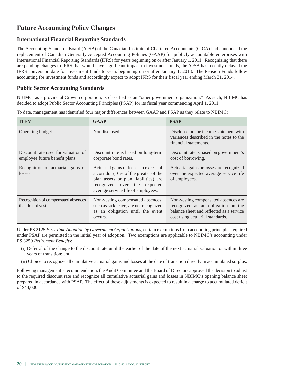# **Future Accounting Policy Changes**

#### **International Financial Reporting Standards**

The Accounting Standards Board (AcSB) of the Canadian Institute of Chartered Accountants (CICA) had announced the replacement of Canadian Generally Accepted Accounting Policies (GAAP) for publicly accountable enterprises with International Financial Reporting Standards (IFRS) for years beginning on or after January 1, 2011. Recognizing that there are pending changes to IFRS that would have significant impact to investment funds, the AcSB has recently delayed the IFRS conversion date for investment funds to years beginning on or after January 1, 2013. The Pension Funds follow accounting for investment funds and accordingly expect to adopt IFRS for their fiscal year ending March 31, 2014.

#### **Public Sector Accounting Standards**

NBIMC, as a provincial Crown corporation, is classified as an "other government organization." As such, NBIMC has decided to adopt Public Sector Accounting Principles (PSAP) for its fiscal year commencing April 1, 2011.

| <b>TTEM</b>                                                          | <b>GAAP</b>                                                                                                                                                                                               | <b>PSAP</b>                                                                                                                                               |
|----------------------------------------------------------------------|-----------------------------------------------------------------------------------------------------------------------------------------------------------------------------------------------------------|-----------------------------------------------------------------------------------------------------------------------------------------------------------|
| Operating budget                                                     | Not disclosed.                                                                                                                                                                                            | Disclosed on the income statement with<br>variances described in the notes to the<br>financial statements.                                                |
| Discount rate used for valuation of<br>employee future benefit plans | Discount rate is based on long-term<br>corporate bond rates.                                                                                                                                              | Discount rate is based on government's<br>cost of borrowing.                                                                                              |
| Recognition of actuarial gains or<br>losses                          | Actuarial gains or losses in excess of<br>a corridor $(10\% \text{ of the greater of the})$<br>plan assets or plan liabilities) are<br>recognized over the expected<br>average service life of employees. | Actuarial gains or losses are recognized<br>over the expected average service life<br>of employees.                                                       |
| Recognition of compensated absences<br>that do not yest.             | Non-vesting compensated absences,<br>such as sick leave, are not recognized<br>as an obligation until the event<br>occurs.                                                                                | Non-vesting compensated absences are<br>recognized as an obligation on the<br>balance sheet and reflected as a service<br>cost using actuarial standards. |

To date, management has identified four major differences between GAAP and PSAP as they relate to NBIMC:

Under PS 2125 *First-time Adoption by Government Organizations*, certain exemptions from accounting principles required under PSAP are permitted in the initial year of adoption. Two exemptions are applicable to NBIMC's accounting under PS 3250 *Retirement Benefits*:

- (i) Deferral of the change to the discount rate until the earlier of the date of the next actuarial valuation or within three years of transition; and
- (ii) Choice to recognize all cumulative actuarial gains and losses at the date of transition directly in accumulated surplus.

Following management's recommendation, the Audit Committee and the Board of Directors approved the decision to adjust to the required discount rate and recognize all cumulative actuarial gains and losses in NBIMC's opening balance sheet prepared in accordance with PSAP. The effect of these adjustments is expected to result in a charge to accumulated deficit of \$44,000.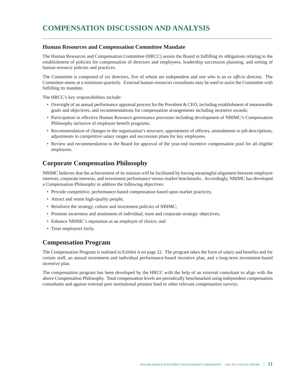# **COMPENSATION DISCUSSION AND ANALYSIS**

#### **Human Resources and Compensation Committee Mandate**

The Human Resources and Compensation Committee (HRCC) assists the Board in fulfilling its obligations relating to the establishment of policies for compensation of directors and employees, leadership succession planning, and setting of human resource policies and practices.

The Committee is composed of six directors, five of whom are independent and one who is an *ex officio* director. The Committee meets at a minimum quarterly. External human resources consultants may be used to assist the Committee with fulfilling its mandate.

The HRCC's key responsibilities include:

- Oversight of an annual performance appraisal process for the President & CEO, including establishment of measureable goals and objectives, and recommendations for compensation arrangements including incentive awards;
- Participation in effective Human Resource governance processes including development of NBIMC's Compensation Philosophy inclusive of employee benefit programs;
- Recommendation of changes to the organization's structure, appointment of officers, amendments to job descriptions, adjustments to competitive salary ranges and succession plans for key employees.
- Review and recommendation to the Board for approval of the year-end incentive compensation pool for all eligible employees.

### **Corporate Compensation Philosophy**

NBIMC believes that the achievement of its mission will be facilitated by having meaningful alignment between employee interests, corporate interests, and investment performance versus market benchmarks. Accordingly, NBIMC has developed a Compensation Philosophy to address the following objectives:

- Provide competitive, performance-based compensation based upon market practices;
- Attract and retain high-quality people;
- Reinforce the strategy, culture and investment policies of NBIMC;
- Promote awareness and attainment of individual, team and corporate strategic objectives;
- Enhance NBIMC's reputation as an employer of choice; and
- Treat employees fairly.

#### **Compensation Program**

The Compensation Program is outlined in Exhibit A on page 22. The program takes the form of salary and benefits and for certain staff, an annual investment and individual performance-based incentive plan, and a long-term investment-based incentive plan.

The compensation program has been developed by the HRCC with the help of an external consultant to align with the above Compensation Philosophy. Total compensation levels are periodically benchmarked using independent compensation consultants and against external peer institutional pension fund or other relevant compensation surveys.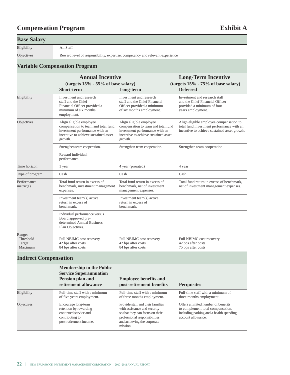# **Compensation Program Exhibit A**

| <b>Base Salary</b>                       |                                                                                                                                                     |                                                                                                                                                     |                                                                                                                                      |  |
|------------------------------------------|-----------------------------------------------------------------------------------------------------------------------------------------------------|-----------------------------------------------------------------------------------------------------------------------------------------------------|--------------------------------------------------------------------------------------------------------------------------------------|--|
| Eligibility                              | All Staff                                                                                                                                           |                                                                                                                                                     |                                                                                                                                      |  |
| Objectives                               | Reward level of responsibility, expertise, competency and relevant experience                                                                       |                                                                                                                                                     |                                                                                                                                      |  |
|                                          | <b>Variable Compensation Program</b>                                                                                                                |                                                                                                                                                     |                                                                                                                                      |  |
|                                          | <b>Annual Incentive</b><br>(targets $15\%$ - 55% of base salary)<br><b>Short-term</b>                                                               | Long-term                                                                                                                                           | <b>Long-Term Incentive</b><br>(targets 15% - 75% of base salary)<br><b>Deferred</b>                                                  |  |
| Eligibility                              | Investment and research<br>staff and the Chief<br>Financial Officer provided a<br>minimum of six months<br>employment.                              | Investment and research<br>staff and the Chief Financial<br>Officer provided a minimum<br>of six months employment.                                 | Investment and research staff<br>and the Chief Financial Officer<br>provided a minimum of four<br>years employment.                  |  |
| Objectives                               | Align eligible employee<br>compensation to team and total fund<br>investment performance with an<br>incentive to achieve sustained asset<br>growth. | Align eligible employee<br>compensation to team and total fund<br>investment performance with an<br>incentive to achieve sustained asset<br>growth. | Align eligible employee compensation to<br>total fund investment performance with an<br>incentive to achieve sustained asset growth. |  |
|                                          | Strengthen team cooperation.                                                                                                                        | Strengthen team cooperation.                                                                                                                        | Strengthen team cooperation.                                                                                                         |  |
|                                          | Reward individual<br>performance.                                                                                                                   |                                                                                                                                                     |                                                                                                                                      |  |
| Time horizon                             | 1 year                                                                                                                                              | 4 year (prorated)                                                                                                                                   | 4 year                                                                                                                               |  |
| Type of program                          | Cash                                                                                                                                                | Cash                                                                                                                                                | Cash                                                                                                                                 |  |
| Performance<br>metric(s)                 | Total fund return in excess of<br>benchmark, investment management<br>expenses.                                                                     | Total fund return in excess of<br>benchmark, net of investment<br>management expenses.                                                              | Total fund return in excess of benchmark,<br>net of investment management expenses.                                                  |  |
|                                          | Investment team(s) active<br>return in excess of<br>benchmark.                                                                                      | Investment team(s) active<br>return in excess of<br>benchmark.                                                                                      |                                                                                                                                      |  |
|                                          | Individual performance versus<br>Board approved pre-<br>determined Annual Business<br>Plan Objectives.                                              |                                                                                                                                                     |                                                                                                                                      |  |
| Range:<br>Threshold<br>Target<br>Maximum | Full NBIMC cost recovery<br>42 bps after costs<br>84 bps after costs                                                                                | Full NBIMC cost recovery<br>42 bps after costs<br>84 bps after costs                                                                                | Full NBIMC cost recovery<br>42 bps after costs<br>75 bps after costs                                                                 |  |
| <b>Indirect Compensation</b>             |                                                                                                                                                     |                                                                                                                                                     |                                                                                                                                      |  |

|             | Membership in the Public<br><b>Service Superannuation</b><br><b>Pension plan and</b><br>retirement allowance         | <b>Employee benefits and</b><br>post-retirement benefits                                                                                                                        | <b>Perquisites</b>                                                                                                                        |
|-------------|----------------------------------------------------------------------------------------------------------------------|---------------------------------------------------------------------------------------------------------------------------------------------------------------------------------|-------------------------------------------------------------------------------------------------------------------------------------------|
| Eligibility | Full-time staff with a minimum<br>of five years employment.                                                          | Full-time staff with a minimum<br>of three months employment.                                                                                                                   | Full-time staff with a minimum of<br>three months employment.                                                                             |
| Objectives  | Encourage long-term<br>retention by rewarding<br>continued service and<br>contributing to<br>post-retirement income. | Provide staff and their families<br>with assistance and security<br>so that they can focus on their<br>professional responsibilities<br>and achieving the corporate<br>mission. | Offers a limited number of benefits<br>to complement total compensation.<br>including parking and a health spending<br>account allowance. |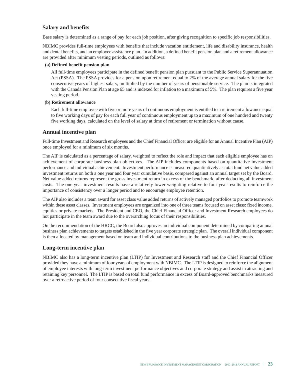#### **Salary and benefits**

Base salary is determined as a range of pay for each job position, after giving recognition to specific job responsibilities.

NBIMC provides full-time employees with benefits that include vacation entitlement, life and disability insurance, health and dental benefits, and an employee assistance plan. In addition, a defined benefit pension plan and a retirement allowance are provided after minimum vesting periods, outlined as follows:

#### **(a) Defined benefit pension plan**

All full-time employees participate in the defined benefit pension plan pursuant to the Public Service Superannuation Act (PSSA). The PSSA provides for a pension upon retirement equal to 2% of the average annual salary for the five consecutive years of highest salary, multiplied by the number of years of pensionable service. The plan is integrated with the Canada Pension Plan at age 65 and is indexed for inflation to a maximum of 5%. The plan requires a five year vesting period.

#### **(b) Retirement allowance**

Each full-time employee with five or more years of continuous employment is entitled to a retirement allowance equal to five working days of pay for each full year of continuous employment up to a maximum of one hundred and twenty five working days, calculated on the level of salary at time of retirement or termination without cause.

#### **Annual incentive plan**

Full-time Investment and Research employees and the Chief Financial Officer are eligible for an Annual Incentive Plan (AIP) once employed for a minimum of six months.

The AIP is calculated as a percentage of salary, weighted to reflect the role and impact that each eligible employee has on achievement of corporate business plan objectives. The AIP includes components based on quantitative investment performance and individual achievement. Investment performance is measured quantitatively as total fund net value added investment returns on both a one year and four year cumulative basis, compared against an annual target set by the Board. Net value added returns represent the gross investment return in excess of the benchmark, after deducting all investment costs. The one year investment results have a relatively lower weighting relative to four year results to reinforce the importance of consistency over a longer period and to encourage employee retention.

The AIP also includes a team award for asset class value added returns of actively managed portfolios to promote teamwork within these asset classes. Investment employees are organized into one of three teams focused on asset class: fixed income, equities or private markets. The President and CEO, the Chief Financial Officer and Investment Research employees do not participate in the team award due to the overarching focus of their responsibilities.

On the recommendation of the HRCC, the Board also approves an individual component determined by comparing annual business plan achievements to targets established in the five year corporate strategic plan. The overall individual component is then allocated by management based on team and individual contributions to the business plan achievements.

#### **Long-term incentive plan**

NBIMC also has a long-term incentive plan (LTIP) for Investment and Research staff and the Chief Financial Officer provided they have a minimum of four years of employment with NBIMC. The LTIP is designed to reinforce the alignment of employee interests with long-term investment performance objectives and corporate strategy and assist in attracting and retaining key personnel. The LTIP is based on total fund performance in excess of Board-approved benchmarks measured over a retroactive period of four consecutive fiscal years.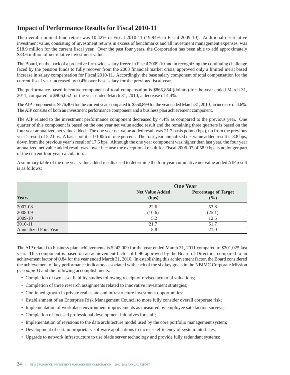### **Impact of Performance Results for Fiscal 2010-11**

The overall nominal fund return was 10.42% in Fiscal 2010-11 (19.94% in Fiscal 2009-10). Additional net relative investment value, consisting of investment returns in excess of benchmarks and all investment management expenses, was \$18.9 million for the current fiscal year. Over the past four years, the Corporation has been able to add approximately \$33.6 million of net relative investment value.

The Board, on the back of a proactive firm-wide salary freeze in Fiscal 2009-10 and in recognizing the continuing challenge faced by the pension funds to fully recover from the 2008 financial market crisis, approved only a limited merit based increase in salary compensation for Fiscal 2010-11. Accordingly, the base salary component of total compensation for the current fiscal year increased by 0.4% over base salary for the previous fiscal year.

The performance-based incentive component of total compensation is \$865,854 (dollars) for the year ended March 31, 2011, compared to \$906,052 for the year ended March 31, 2010, a decrease of 4.4%.

TheAIPcomponent is \$576,406 forthe current year, compared to \$550,899 forthe year ended March 31, 2010, an increase of 4.6%. The AIP consists of both an investment performance component and a business plan achievement component.

The AIP related to the investment performance component decreased by 4.4% as compared to the previous year. One quarter of this component is based on the one year net value added result and the remaining three quarters is based on the four year annualized net value added. The one year net value added result was 21.7 basis points (bps), up from the previous year's result of 5.2 bps. A basis point is 1/100th of one percent. The four year annualized net value added result is 8.8 bps, down from the previous year's result of 17.6 bps. Although the one year component was higher than last year, the four year annualized net value added result was lower because the exceptional result for Fiscal 2006-07 of 58.9 bps is no longer part of the current four year calculation.

A summary table of the one year value added results used to determine the four year cumulative net value added AIP result is as follows:

|                             |                                 | <b>One Year</b>                    |  |
|-----------------------------|---------------------------------|------------------------------------|--|
| <b>Years</b>                | <b>Net Value Added</b><br>(bps) | <b>Percentage of Target</b><br>(%) |  |
| 2007-08                     | 22.6                            | 53.8                               |  |
| 2008-09                     | (10.6)                          | (25.1)                             |  |
| $2009 - 10$                 | 5.2                             | 12.5                               |  |
| 2010-11                     | 21.7                            | 51.7                               |  |
| <b>Annualized Four Year</b> | 8.8                             | 21.0                               |  |

The AIP related to business plan achievements is \$242,009 for the year ended March 31, 2011 compared to \$201,025 last year. This component is based on an achievement factor of 0.96 approved by the Board of Directors, compared to an achievement factor of 0.84 for the year ended March 31, 2010. In establishing this achievement factor, the Board considered the achievement of key performance indicators associated with each of the six key goals in the NBIMC Corporate Mission *(see page 1)* and the following accomplishments:

- Completion of two asset liability studies following receipt of revised actuarial valuations;
- Completion of three research assignments related to innovative investment strategies;
- Continued growth in private real estate and infrastructure investment opportunities;
- Establishment of an Enterprise Risk Management Council to more fully consider overall corporate risk;
- Implementation of workplace environment improvements as measured by employee satisfaction surveys;
- Completion of focused professional development initiatives for staff;
- Implementation of revisions to the data architecture model used by the core portfolio management system;
- Development of certain proprietary software applications to increase efficiency of system interfaces;
- Upgrade to network infrastructure to use blade server technology and provide fully redundant systems;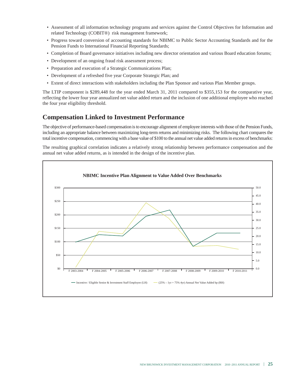- Assessment of all information technology programs and services against the Control Objectives for Information and related Technology (COBIT®) risk management framework;
- Progress toward conversion of accounting standards for NBIMC to Public Sector Accounting Standards and for the Pension Funds to International Financial Reporting Standards;
- Completion of Board governance initiatives including new director orientation and various Board education forums;
- Development of an ongoing fraud risk assessment process;
- Preparation and execution of a Strategic Communications Plan;
- Development of a refreshed five year Corporate Strategic Plan; and
- Extent of direct interactions with stakeholders including the Plan Sponsor and various Plan Member groups.

The LTIP component is \$289,448 for the year ended March 31, 2011 compared to \$355,153 for the comparative year, reflecting the lower four year annualized net value added return and the inclusion of one additional employee who reached the four year eligibility threshold.

# **Compensation Linked to Investment Performance**

The objective of performance-based compensation isto encourage alignment of employee interests with those ofthe Pension Funds, including an appropriate balance between maximizing long-term returns and minimizing risks. The following chart comparesthe total incentive compensation, commencing with a base value of \$100 to the annual net value added returnsin excess of benchmarks:

The resulting graphical correlation indicates a relatively strong relationship between performance compensation and the annual net value added returns, as is intended in the design of the incentive plan.

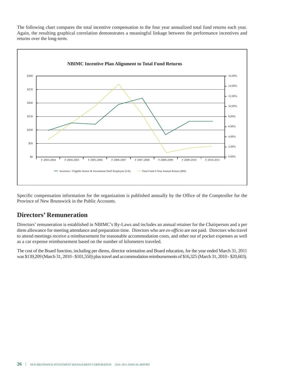The following chart compares the total incentive compensation to the four year annualized total fund returns each year. Again, the resulting graphical correlation demonstrates a meaningful linkage between the performance incentives and returns over the long-term.



Specific compensation information for the organization is published annually by the Office of the Comptroller for the Province of New Brunswick in the Public Accounts.

### **Directors' Remuneration**

Directors'remuneration is established in NBIMC's By-Laws and includes an annual retainer for the Chairperson and a per diem allowance for meeting attendance and preparation time. Directors who are *ex-officio* are not paid. Directors who travel to attend meetings receive a reimbursement for reasonable accommodation costs, and other out of pocket expenses as well as a car expense reimbursement based on the number of kilometers traveled.

The cost of the Board function, including per diems, director orientation and Board education, for the year ended March 31, 2011 was \$139,209 (March 31, 2010 - \$101,550) plus travel and accommodation reimbursements of \$16,325 (March 31, 2010 - \$20,603).